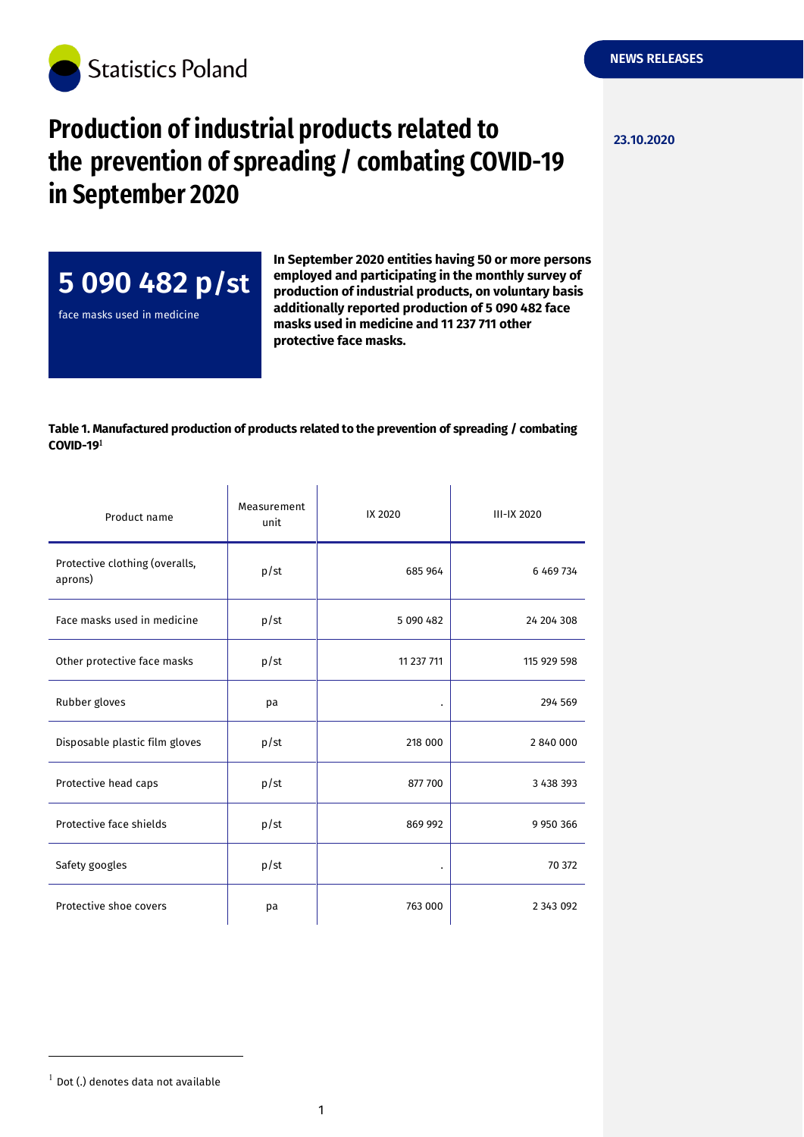

## **Production of industrial products related to**  $\frac{23.10.2020}{23.10.2020}$ **the prevention of spreading / combating COVID-19 in September 2020**



face masks used in medicine

**In September 2020 entities having 50 or more persons employed and participating in the monthly survey of production of industrial products, on voluntary basis additionally reported production of 5 090 482 face masks used in medicine and 11 237 711 other protective face masks.**

## **Table 1. Manufactured production of products related to the prevention of spreading / combating COVID-19**

| Product name                              | Measurement<br>unit | IX 2020    | III-IX 2020   |
|-------------------------------------------|---------------------|------------|---------------|
| Protective clothing (overalls,<br>aprons) | p/st                | 685 964    | 6 469 734     |
| Face masks used in medicine               | p/st                | 5 090 482  | 24 204 308    |
| Other protective face masks               | p/st                | 11 237 711 | 115 929 598   |
| Rubber gloves                             | pa                  |            | 294 569       |
| Disposable plastic film gloves            | p/st                | 218 000    | 2840000       |
| Protective head caps                      | p/st                | 877 700    | 3 438 393     |
| Protective face shields                   | p/st                | 869 992    | 9 9 5 0 3 6 6 |
| Safety googles                            | p/st                | $\bullet$  | 70 372        |
| Protective shoe covers                    | pa                  | 763 000    | 2 3 4 3 0 9 2 |

-

 $1$  Dot (.) denotes data not available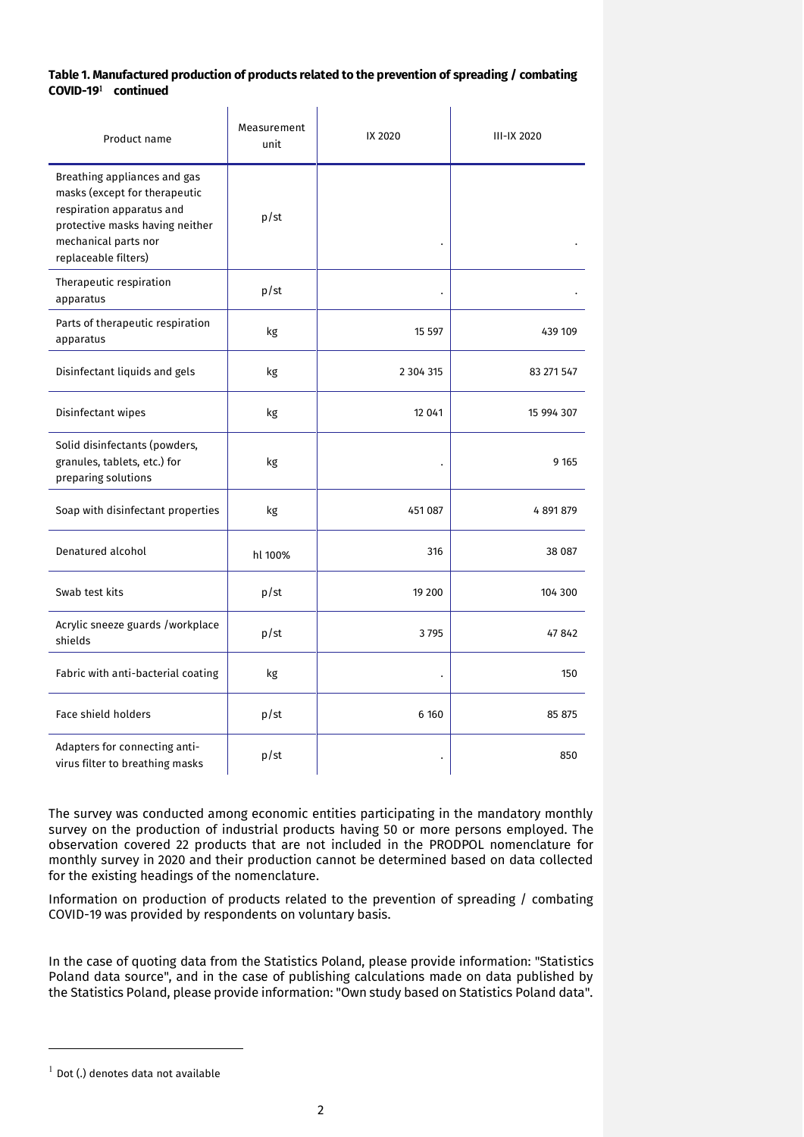## **Table 1. Manufactured production of products related to the prevention of spreading / combating COVID-19 continued**

|                                                                                                                                                                               | Measurement |               |                    |
|-------------------------------------------------------------------------------------------------------------------------------------------------------------------------------|-------------|---------------|--------------------|
| Product name                                                                                                                                                                  | unit        | IX 2020       | <b>III-IX 2020</b> |
| Breathing appliances and gas<br>masks (except for therapeutic<br>respiration apparatus and<br>protective masks having neither<br>mechanical parts nor<br>replaceable filters) | p/st        |               |                    |
| Therapeutic respiration<br>apparatus                                                                                                                                          | p/st        |               |                    |
| Parts of therapeutic respiration<br>apparatus                                                                                                                                 | kg          | 15 5 97       | 439 109            |
| Disinfectant liquids and gels                                                                                                                                                 | kg          | 2 3 0 4 3 1 5 | 83 271 547         |
| Disinfectant wipes                                                                                                                                                            | kg          | 12 041        | 15 994 307         |
| Solid disinfectants (powders,<br>granules, tablets, etc.) for<br>preparing solutions                                                                                          | kg          |               | 9 1 6 5            |
| Soap with disinfectant properties                                                                                                                                             | kg          | 451 087       | 4 891 879          |
| Denatured alcohol                                                                                                                                                             | hl 100%     | 316           | 38 087             |
| Swab test kits                                                                                                                                                                | p/st        | 19 200        | 104 300            |
| Acrylic sneeze guards /workplace<br>shields                                                                                                                                   | p/st        | 3795          | 47842              |
| Fabric with anti-bacterial coating                                                                                                                                            | kg          |               | 150                |
| <b>Face shield holders</b>                                                                                                                                                    | p/st        | 6 1 6 0       | 85 875             |
| Adapters for connecting anti-<br>virus filter to breathing masks                                                                                                              | p/st        |               | 850                |

The survey was conducted among economic entities participating in the mandatory monthly survey on the production of industrial products having 50 or more persons employed. The observation covered 22 products that are not included in the PRODPOL nomenclature for monthly survey in 2020 and their production cannot be determined based on data collected for the existing headings of the nomenclature.

Information on production of products related to the prevention of spreading / combating COVID-19 was provided by respondents on voluntary basis.

In the case of quoting data from the Statistics Poland, please provide information: "Statistics Poland data source", and in the case of publishing calculations made on data published by the Statistics Poland, please provide information: "Own study based on Statistics Poland data".

-

 $^{-1}$  Dot (.) denotes data not available